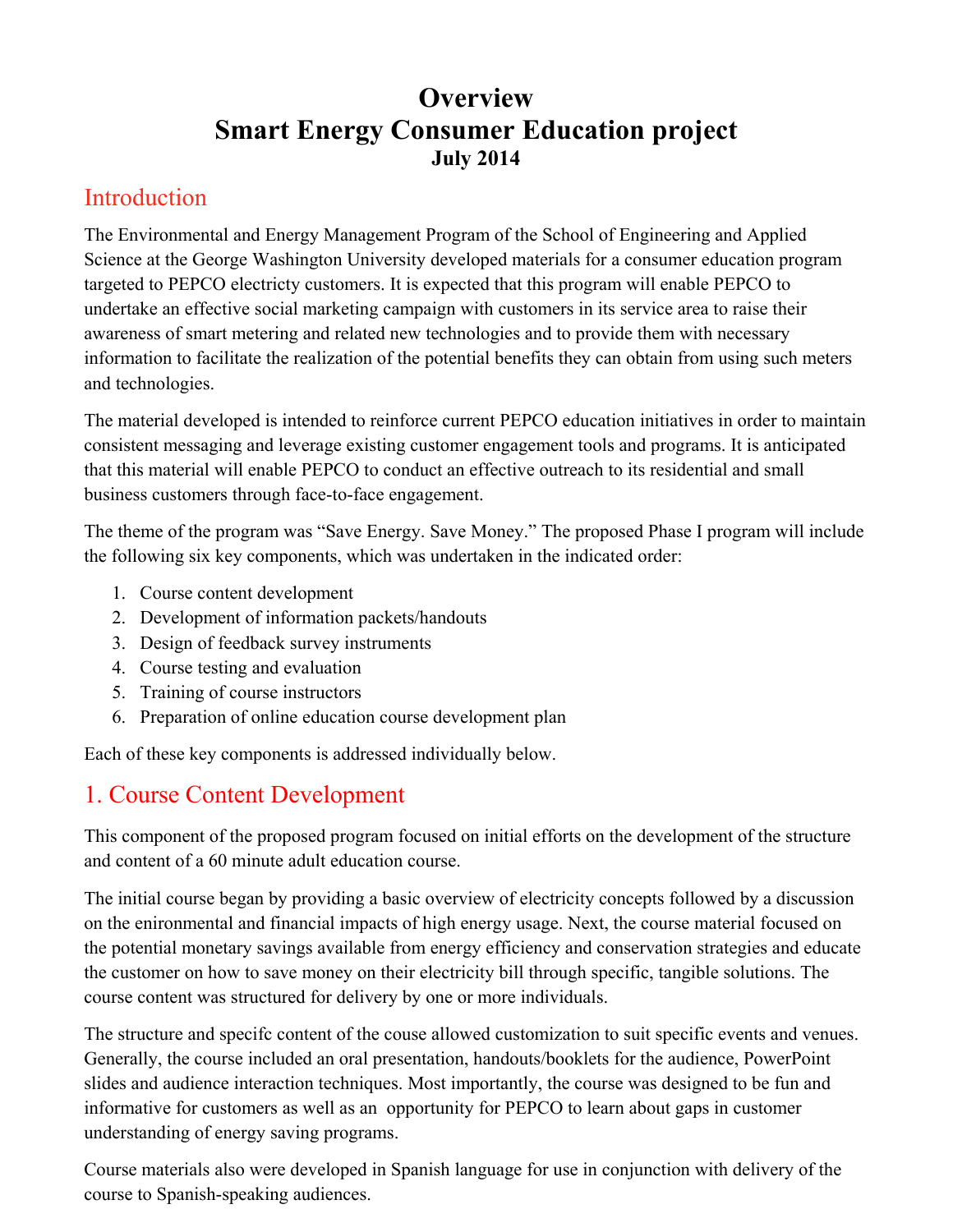## **Overview Smart Energy Consumer Education project July 2014**

#### Introduction

The Environmental and Energy Management Program of the School of Engineering and Applied Science at the George Washington University developed materials for a consumer education program targeted to PEPCO electricty customers. It is expected that this program will enable PEPCO to undertake an effective social marketing campaign with customers in its service area to raise their awareness of smart metering and related new technologies and to provide them with necessary information to facilitate the realization of the potential benefits they can obtain from using such meters and technologies.

The material developed is intended to reinforce current PEPCO education initiatives in order to maintain consistent messaging and leverage existing customer engagement tools and programs. It is anticipated that this material will enable PEPCO to conduct an effective outreach to its residential and small business customers through face-to-face engagement.

The theme of the program was "Save Energy. Save Money." The proposed Phase I program will include the following six key components, which was undertaken in the indicated order:

- 1. Course content development
- 2. Development of information packets/handouts
- 3. Design of feedback survey instruments
- 4. Course testing and evaluation
- 5. Training of course instructors
- 6. Preparation of online education course development plan

Each of these key components is addressed individually below.

## 1. Course Content Development

This component of the proposed program focused on initial efforts on the development of the structure and content of a 60 minute adult education course.

The initial course began by providing a basic overview of electricity concepts followed by a discussion on the enironmental and financial impacts of high energy usage. Next, the course material focused on the potential monetary savings available from energy efficiency and conservation strategies and educate the customer on how to save money on their electricity bill through specific, tangible solutions. The course content was structured for delivery by one or more individuals.

The structure and specifc content of the couse allowed customization to suit specific events and venues. Generally, the course included an oral presentation, handouts/booklets for the audience, PowerPoint slides and audience interaction techniques. Most importantly, the course was designed to be fun and informative for customers as well as an opportunity for PEPCO to learn about gaps in customer understanding of energy saving programs.

Course materials also were developed in Spanish language for use in conjunction with delivery of the course to Spanish-speaking audiences.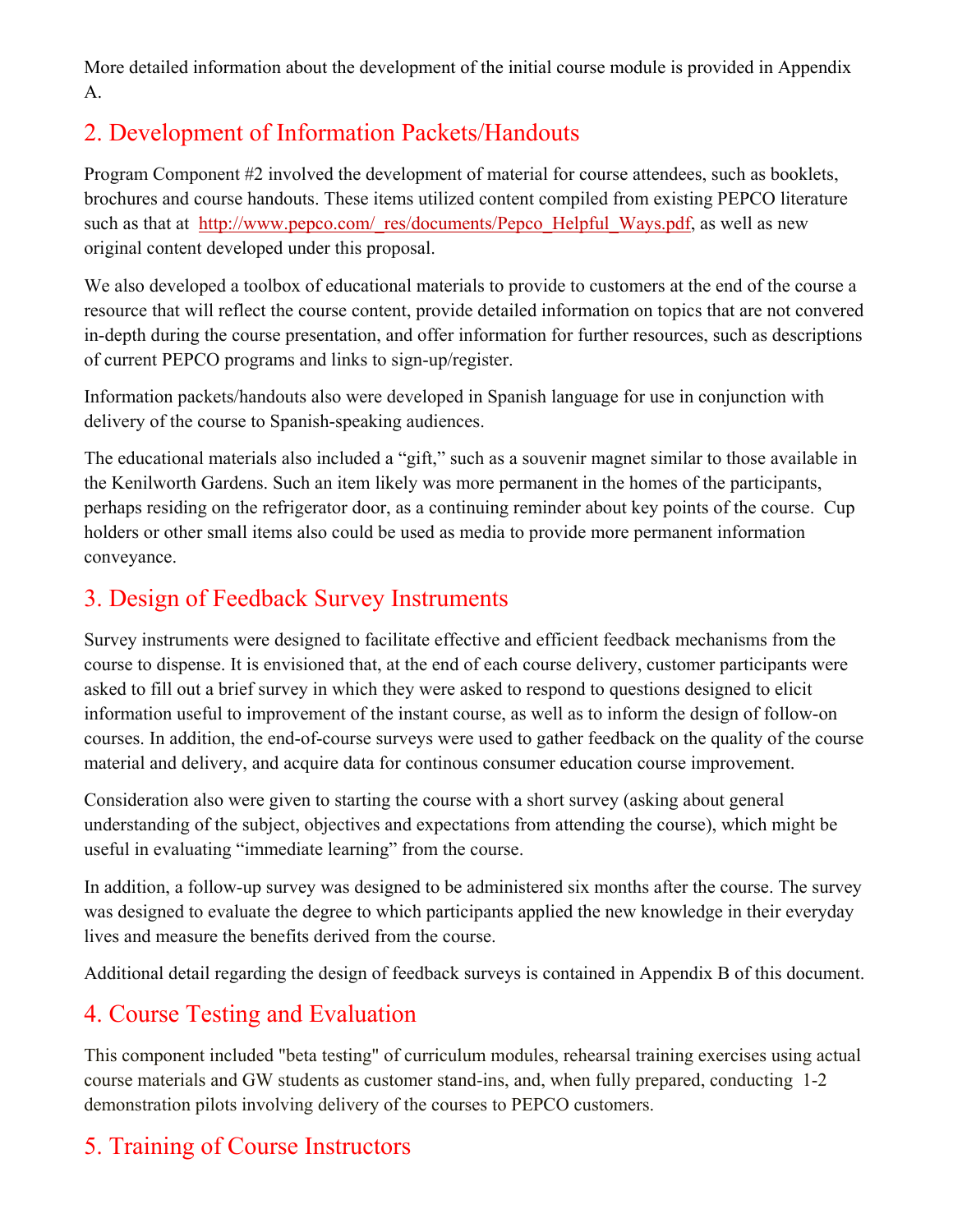More detailed information about the development of the initial course module is provided in Appendix A.

## 2. Development of Information Packets/Handouts

Program Component #2 involved the development of material for course attendees, such as booklets, brochures and course handouts. These items utilized content compiled from existing PEPCO literature such as that at http://www.pepco.com/\_res/documents/Pepco\_Helpful\_Ways.pdf, as well as new original content developed under this proposal.

We also developed a toolbox of educational materials to provide to customers at the end of the course a resource that will reflect the course content, provide detailed information on topics that are not convered in-depth during the course presentation, and offer information for further resources, such as descriptions of current PEPCO programs and links to sign-up/register.

Information packets/handouts also were developed in Spanish language for use in conjunction with delivery of the course to Spanish-speaking audiences.

The educational materials also included a "gift," such as a souvenir magnet similar to those available in the Kenilworth Gardens. Such an item likely was more permanent in the homes of the participants, perhaps residing on the refrigerator door, as a continuing reminder about key points of the course. Cup holders or other small items also could be used as media to provide more permanent information conveyance.

## 3. Design of Feedback Survey Instruments

Survey instruments were designed to facilitate effective and efficient feedback mechanisms from the course to dispense. It is envisioned that, at the end of each course delivery, customer participants were asked to fill out a brief survey in which they were asked to respond to questions designed to elicit information useful to improvement of the instant course, as well as to inform the design of follow-on courses. In addition, the end-of-course surveys were used to gather feedback on the quality of the course material and delivery, and acquire data for continous consumer education course improvement.

Consideration also were given to starting the course with a short survey (asking about general understanding of the subject, objectives and expectations from attending the course), which might be useful in evaluating "immediate learning" from the course.

In addition, a follow-up survey was designed to be administered six months after the course. The survey was designed to evaluate the degree to which participants applied the new knowledge in their everyday lives and measure the benefits derived from the course.

Additional detail regarding the design of feedback surveys is contained in Appendix B of this document.

## 4. Course Testing and Evaluation

This component included "beta testing" of curriculum modules, rehearsal training exercises using actual course materials and GW students as customer stand-ins, and, when fully prepared, conducting 1-2 demonstration pilots involving delivery of the courses to PEPCO customers.

## 5. Training of Course Instructors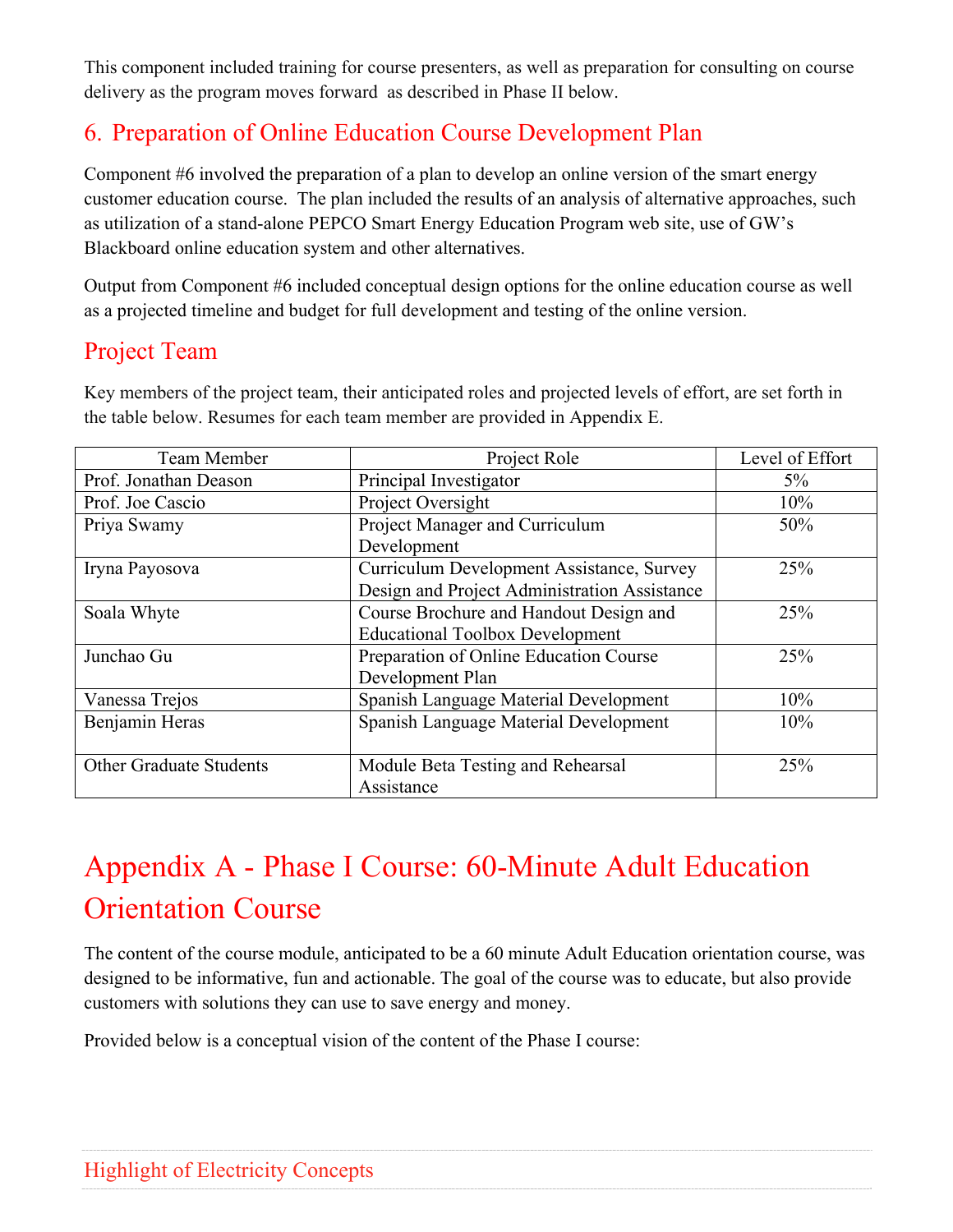This component included training for course presenters, as well as preparation for consulting on course delivery as the program moves forward as described in Phase II below.

## 6. Preparation of Online Education Course Development Plan

Component #6 involved the preparation of a plan to develop an online version of the smart energy customer education course. The plan included the results of an analysis of alternative approaches, such as utilization of a stand-alone PEPCO Smart Energy Education Program web site, use of GW's Blackboard online education system and other alternatives.

Output from Component #6 included conceptual design options for the online education course as well as a projected timeline and budget for full development and testing of the online version.

#### Project Team

| Team Member             | Project Role                                 | Level of Effort |
|-------------------------|----------------------------------------------|-----------------|
| Prof. Jonathan Deason   | Principal Investigator                       | $5\%$           |
| Prof. Joe Cascio        | Project Oversight                            | 10%             |
| Priya Swamy             | Project Manager and Curriculum               | 50%             |
|                         | Development                                  |                 |
| Iryna Payosova          | Curriculum Development Assistance, Survey    | 25%             |
|                         | Design and Project Administration Assistance |                 |
| Soala Whyte             | Course Brochure and Handout Design and       | 25%             |
|                         | <b>Educational Toolbox Development</b>       |                 |
| Junchao Gu              | Preparation of Online Education Course       | 25%             |
|                         | Development Plan                             |                 |
| Vanessa Trejos          | Spanish Language Material Development        | 10%             |
| Benjamin Heras          | Spanish Language Material Development        | 10%             |
|                         |                                              |                 |
| Other Graduate Students | Module Beta Testing and Rehearsal            | 25%             |
|                         | Assistance                                   |                 |

Key members of the project team, their anticipated roles and projected levels of effort, are set forth in the table below. Resumes for each team member are provided in Appendix E.

## Appendix A - Phase I Course: 60-Minute Adult Education Orientation Course

The content of the course module, anticipated to be a 60 minute Adult Education orientation course, was designed to be informative, fun and actionable. The goal of the course was to educate, but also provide customers with solutions they can use to save energy and money.

Provided below is a conceptual vision of the content of the Phase I course: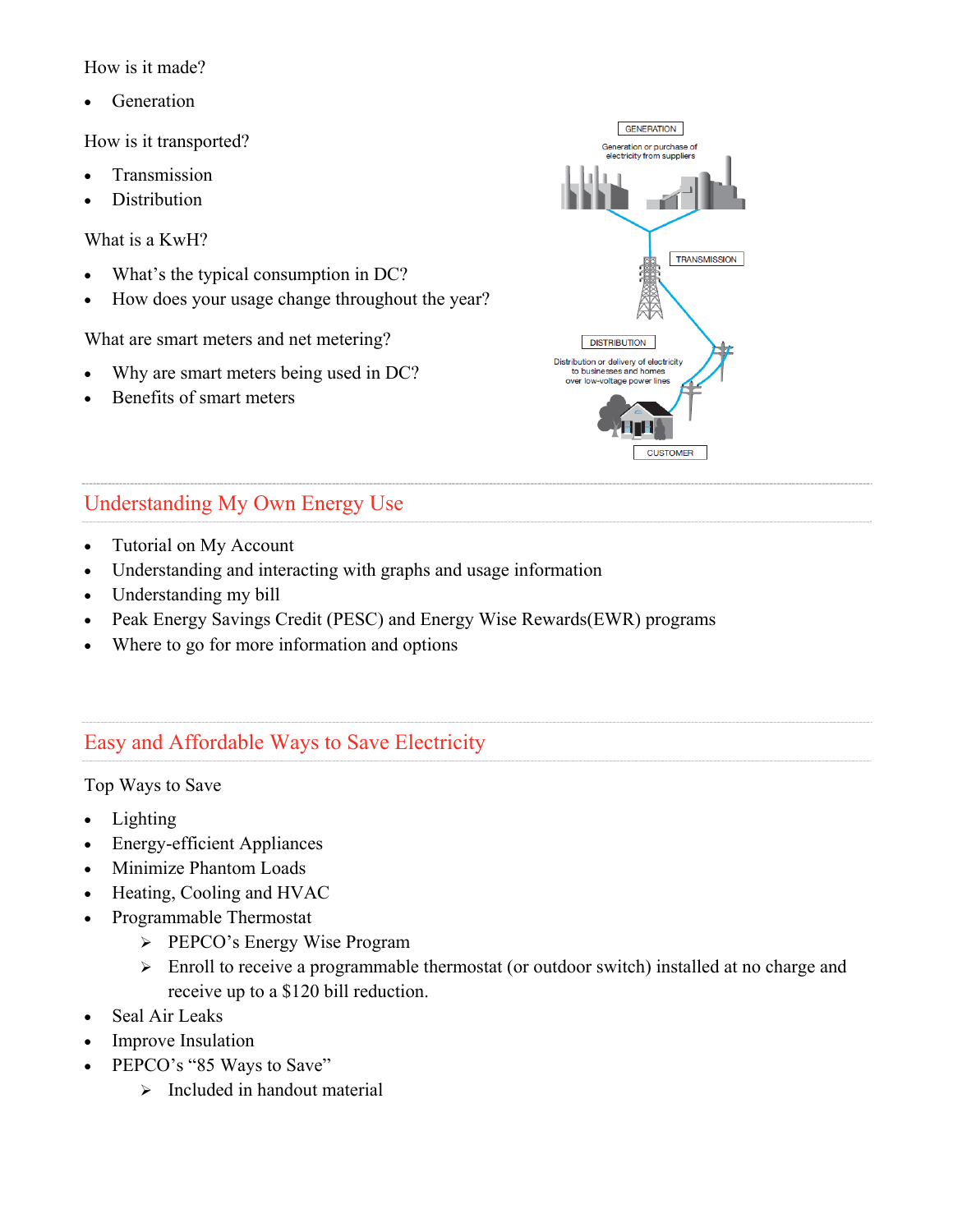How is it made?

Generation

How is it transported?

- Transmission
- Distribution

What is a KwH?

- What's the typical consumption in DC?
- How does your usage change throughout the year?

What are smart meters and net metering?

- Why are smart meters being used in DC?
- Benefits of smart meters



#### Understanding My Own Energy Use

- Tutorial on My Account
- Understanding and interacting with graphs and usage information
- Understanding my bill
- Peak Energy Savings Credit (PESC) and Energy Wise Rewards(EWR) programs
- Where to go for more information and options

#### Easy and Affordable Ways to Save Electricity

Top Ways to Save

- Lighting
- Energy-efficient Appliances
- Minimize Phantom Loads
- Heating, Cooling and HVAC
- Programmable Thermostat
	- PEPCO's Energy Wise Program
	- Enroll to receive a programmable thermostat (or outdoor switch) installed at no charge and receive up to a \$120 bill reduction.
- Seal Air Leaks
- Improve Insulation
- PEPCO's "85 Ways to Save"
	- $\triangleright$  Included in handout material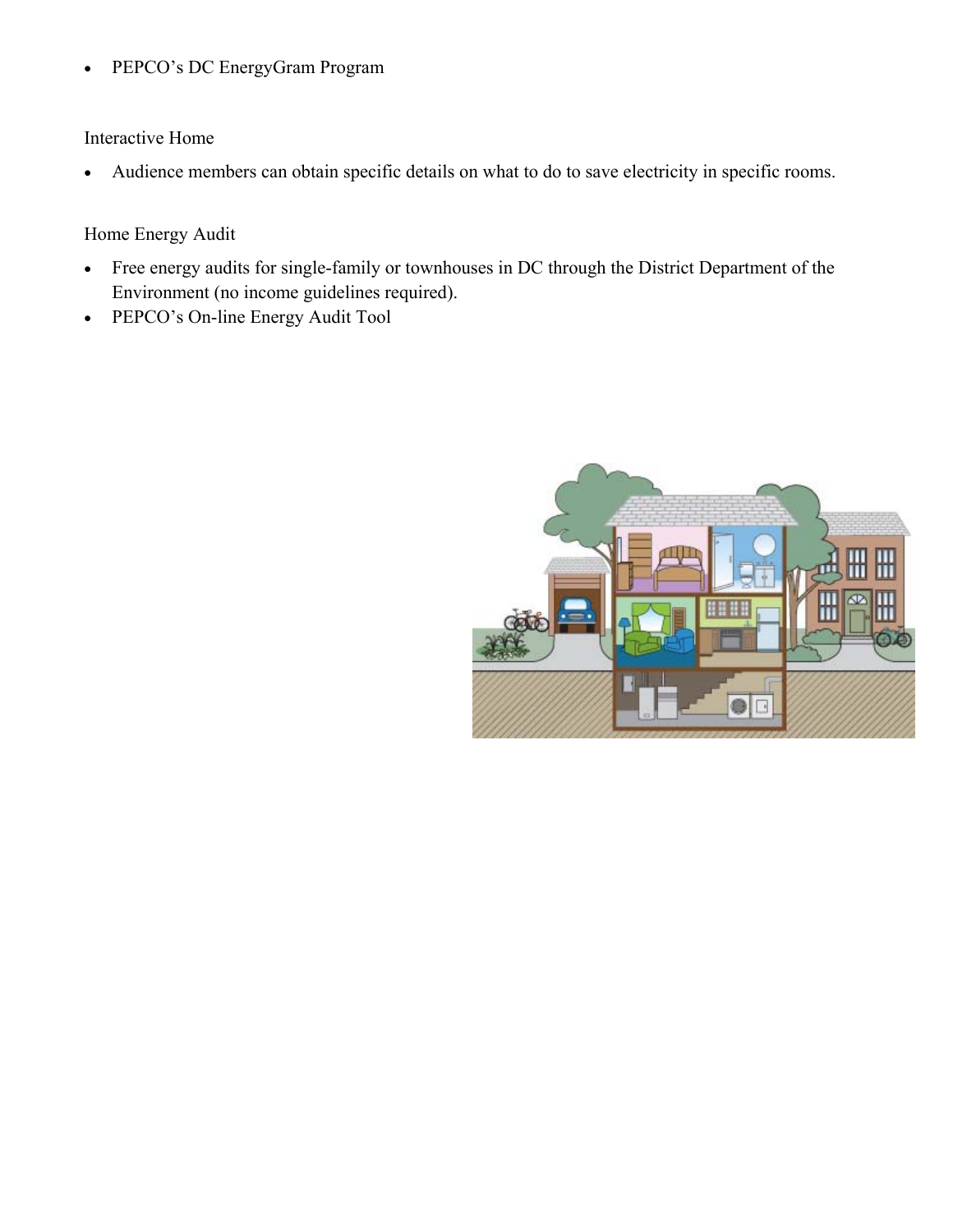PEPCO's DC EnergyGram Program

Interactive Home

Audience members can obtain specific details on what to do to save electricity in specific rooms.

#### Home Energy Audit

- Free energy audits for single-family or townhouses in DC through the District Department of the Environment (no income guidelines required).
- PEPCO's On-line Energy Audit Tool